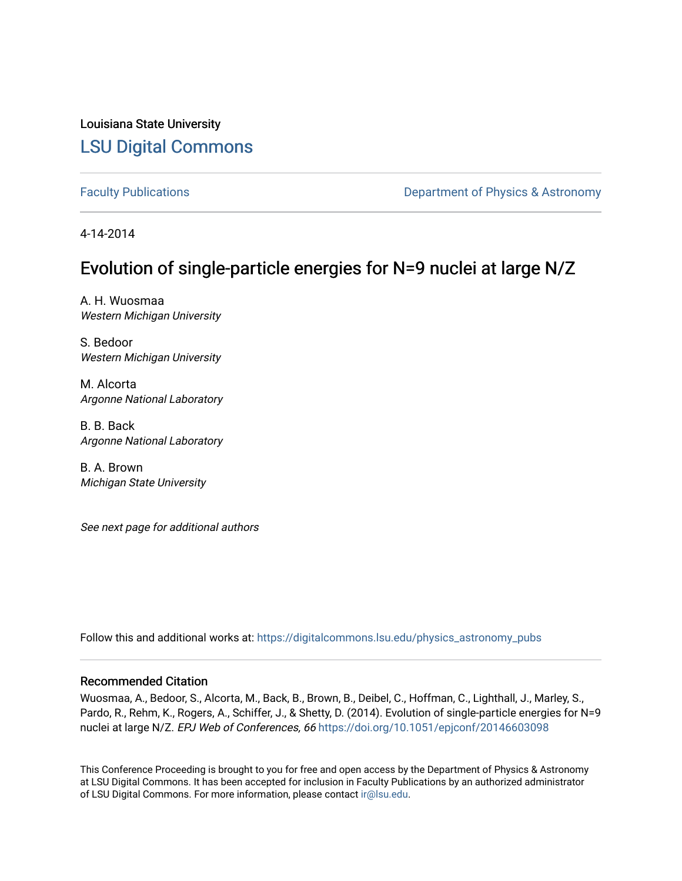Louisiana State University [LSU Digital Commons](https://digitalcommons.lsu.edu/)

[Faculty Publications](https://digitalcommons.lsu.edu/physics_astronomy_pubs) **Exercise 2 and Table 2 and Table 2 and Table 2 and Table 2 and Table 2 and Table 2 and Table 2 and Table 2 and Table 2 and Table 2 and Table 2 and Table 2 and Table 2 and Table 2 and Table 2 and Table** 

4-14-2014

# Evolution of single-particle energies for N=9 nuclei at large N/Z

A. H. Wuosmaa Western Michigan University

S. Bedoor Western Michigan University

M. Alcorta Argonne National Laboratory

B. B. Back Argonne National Laboratory

B. A. Brown Michigan State University

See next page for additional authors

Follow this and additional works at: [https://digitalcommons.lsu.edu/physics\\_astronomy\\_pubs](https://digitalcommons.lsu.edu/physics_astronomy_pubs?utm_source=digitalcommons.lsu.edu%2Fphysics_astronomy_pubs%2F1257&utm_medium=PDF&utm_campaign=PDFCoverPages) 

#### Recommended Citation

Wuosmaa, A., Bedoor, S., Alcorta, M., Back, B., Brown, B., Deibel, C., Hoffman, C., Lighthall, J., Marley, S., Pardo, R., Rehm, K., Rogers, A., Schiffer, J., & Shetty, D. (2014). Evolution of single-particle energies for N=9 nuclei at large N/Z. EPJ Web of Conferences, 66 <https://doi.org/10.1051/epjconf/20146603098>

This Conference Proceeding is brought to you for free and open access by the Department of Physics & Astronomy at LSU Digital Commons. It has been accepted for inclusion in Faculty Publications by an authorized administrator of LSU Digital Commons. For more information, please contact [ir@lsu.edu](mailto:ir@lsu.edu).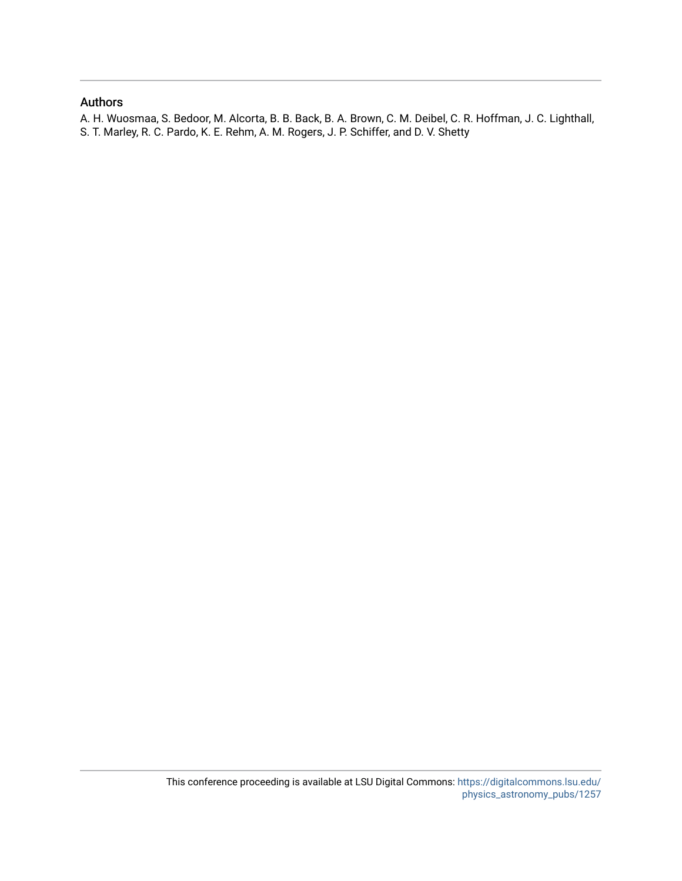### Authors

A. H. Wuosmaa, S. Bedoor, M. Alcorta, B. B. Back, B. A. Brown, C. M. Deibel, C. R. Hoffman, J. C. Lighthall, S. T. Marley, R. C. Pardo, K. E. Rehm, A. M. Rogers, J. P. Schiffer, and D. V. Shetty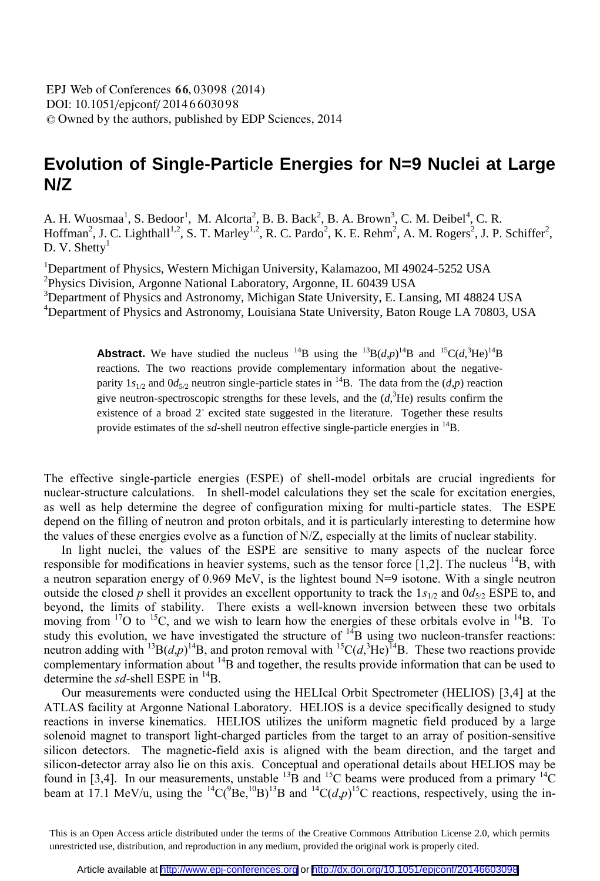DOI: 10.1051/epjconf/ 2014 6 6030 98 <sup>C</sup> Owned by the authors, published by EDP Sciences, 2014 EPJ Web of Conferences **66**, 03098 (2014)

## **Evolution of Single-Particle Energies for N=9 Nuclei at Large N/Z**

A. H. Wuosmaa<sup>1</sup>, S. Bedoor<sup>1</sup>, M. Alcorta<sup>2</sup>, B. B. Back<sup>2</sup>, B. A. Brown<sup>3</sup>, C. M. Deibel<sup>4</sup>, C. R. Hoffman<sup>2</sup>, J. C. Lighthall<sup>1,2</sup>, S. T. Marley<sup>1,2</sup>, R. C. Pardo<sup>2</sup>, K. E. Rehm<sup>2</sup>, A. M. Rogers<sup>2</sup>, J. P. Schiffer<sup>2</sup>, D. V. Shetty $<sup>1</sup>$ </sup>

<sup>1</sup>Department of Physics, Western Michigan University, Kalamazoo, MI 49024-5252 USA <sup>2</sup>Physics Division, Argonne National Laboratory, Argonne, IL 60439 USA

<sup>3</sup>Department of Physics and Astronomy, Michigan State University, E. Lansing, MI 48824 USA

<sup>4</sup>Department of Physics and Astronomy, Louisiana State University, Baton Rouge LA 70803, USA

**Abstract.** We have studied the nucleus <sup>14</sup>B using the <sup>13</sup>B(*d*,*p*)<sup>14</sup>B and <sup>15</sup>C(*d*,<sup>3</sup>He)<sup>14</sup>B reactions. The two reactions provide complementary information about the negativeparity  $1s_{1/2}$  and  $0d_{5/2}$  neutron single-particle states in <sup>14</sup>B. The data from the (*d,p*) reaction give neutron-spectroscopic strengths for these levels, and the  $(d, \n 3He)$  results confirm the existence of a broad 2<sup>-</sup> excited state suggested in the literature. Together these results provide estimates of the *sd*-shell neutron effective single-particle energies in <sup>14</sup>B.

The effective single-particle energies (ESPE) of shell-model orbitals are crucial ingredients for nuclear-structure calculations. In shell-model calculations they set the scale for excitation energies, as well as help determine the degree of configuration mixing for multi-particle states. The ESPE depend on the filling of neutron and proton orbitals, and it is particularly interesting to determine how the values of these energies evolve as a function of N/Z, especially at the limits of nuclear stability.

In light nuclei, the values of the ESPE are sensitive to many aspects of the nuclear force responsible for modifications in heavier systems, such as the tensor force  $[1,2]$ . The nucleus  $^{14}B$ , with a neutron separation energy of 0.969 MeV, is the lightest bound N=9 isotone. With a single neutron outside the closed *p* shell it provides an excellent opportunity to track the  $1s_{1/2}$  and  $0d_{5/2}$  ESPE to, and beyond, the limits of stability. There exists a well-known inversion between these two orbitals moving from  $17O$  to  $15C$ , and we wish to learn how the energies of these orbitals evolve in  $14B$ . To study this evolution, we have investigated the structure of  $^{14}B$  using two nucleon-transfer reactions: neutron adding with <sup>13</sup>B(*d*,*p*)<sup>14</sup>B, and proton removal with <sup>15</sup>C(*d*,<sup>3</sup>He)<sup>14</sup>B. These two reactions provide complementary information about  $^{14}B$  and together, the results provide information that can be used to determine the *sd*-shell ESPE in <sup>14</sup>B.

Our measurements were conducted using the HELIcal Orbit Spectrometer (HELIOS) [3,4] at the ATLAS facility at Argonne National Laboratory. HELIOS is a device specifically designed to study reactions in inverse kinematics. HELIOS utilizes the uniform magnetic field produced by a large solenoid magnet to transport light-charged particles from the target to an array of position-sensitive silicon detectors. The magnetic-field axis is aligned with the beam direction, and the target and silicon-detector array also lie on this axis. Conceptual and operational details about HELIOS may be found in [3,4]. In our measurements, unstable  $^{13}$ B and  $^{15}$ C beams were produced from a primary  $^{14}$ C beam at 17.1 MeV/u, using the <sup>14</sup>C( $^{9}Be$ ,  $^{10}B$ )<sup>13</sup>B and <sup>14</sup>C( $d$ , $p$ )<sup>15</sup>C reactions, respectively, using the in-

This is an Open Access article distributed under the terms of the Creative Commons Attribution License 2.0, which permits unrestricted use, distribution, and reproduction in any medium, provided the original work is properly cited.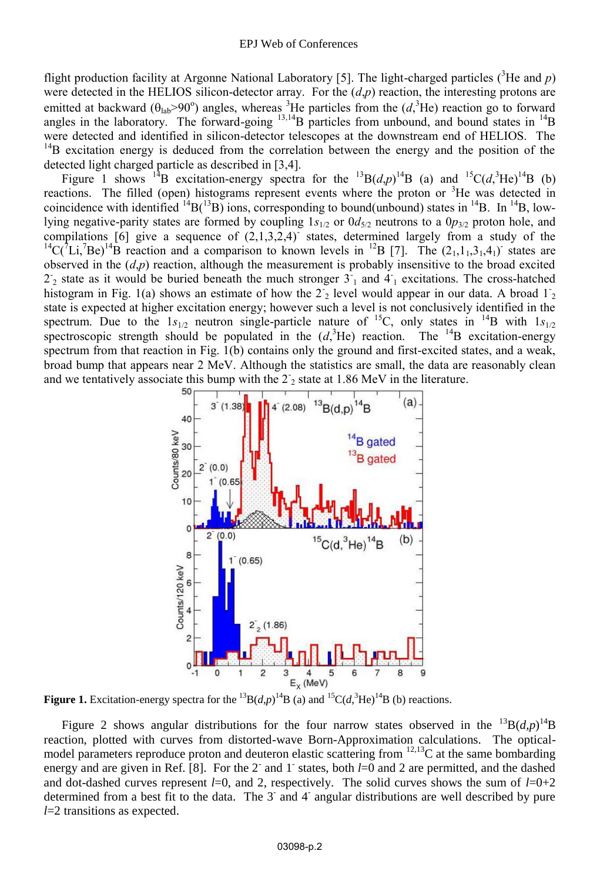flight production facility at Argonne National Laboratory [5]. The light-charged particles ( ${}^{3}$ He and *p*) were detected in the HELIOS silicon-detector array. For the (*d*,*p*) reaction, the interesting protons are emitted at backward ( $\theta_{lab} > 90^\circ$ ) angles, whereas <sup>3</sup>He particles from the (*d*,<sup>3</sup>He) reaction go to forward angles in the laboratory. The forward-going  $^{13,14}B$  particles from unbound, and bound states in  $^{14}B$ were detected and identified in silicon-detector telescopes at the downstream end of HELIOS. The <sup>14</sup>B excitation energy is deduced from the correlation between the energy and the position of the detected light charged particle as described in [3,4].

Figure 1 shows <sup>14</sup>B excitation-energy spectra for the <sup>13</sup>B(*d*,*p*)<sup>14</sup>B (a) and <sup>15</sup>C(*d*,<sup>3</sup>He)<sup>14</sup>B (b) reactions. The filled (open) histograms represent events where the proton or <sup>3</sup>He was detected in coincidence with identified  $^{14}B(^{13}B)$  ions, corresponding to bound(unbound) states in  $^{14}B$ . In  $^{14}B$ , lowlying negative-parity states are formed by coupling  $1s_{1/2}$  or  $0d_{5/2}$  neutrons to a  $0p_{3/2}$  proton hole, and compilations  $[6]$  give a sequence of  $(2,1,3,2,4)$  states, determined largely from a study of the <sup>14</sup>C( ${}^{7}Li$ ,<sup>7</sup>Be)<sup>14</sup>B reaction and a comparison to known levels in <sup>12</sup>B [7]. The (2<sub>1</sub>,1<sub>1</sub>,3<sub>1</sub>,4<sub>1</sub>) states are observed in the  $(d,p)$  reaction, although the measurement is probably insensitive to the broad excited  $2^{\circ}$  state as it would be buried beneath the much stronger  $3^{\circ}$  and  $4^{\circ}$  excitations. The cross-hatched histogram in Fig. 1(a) shows an estimate of how the  $2\frac{1}{2}$  level would appear in our data. A broad  $1\frac{1}{2}$ state is expected at higher excitation energy; however such a level is not conclusively identified in the spectrum. Due to the  $1s_{1/2}$  neutron single-particle nature of <sup>15</sup>C, only states in <sup>14</sup>B with  $1s_{1/2}$ spectroscopic strength should be populated in the  $(d<sup>3</sup>)$ He) reaction. The <sup>14</sup>B excitation-energy spectrum from that reaction in Fig. 1(b) contains only the ground and first-excited states, and a weak, broad bump that appears near 2 MeV. Although the statistics are small, the data are reasonably clean and we tentatively associate this bump with the  $2<sub>2</sub>$  state at 1.86 MeV in the literature.



**Figure 1.** Excitation-energy spectra for the <sup>13</sup>B(*d*,*p*)<sup>14</sup>B (a) and <sup>15</sup>C(*d*,<sup>3</sup>He)<sup>14</sup>B (b) reactions.

Figure 2 shows angular distributions for the four narrow states observed in the  $^{13}B(d,p)^{14}B$ reaction, plotted with curves from distorted-wave Born-Approximation calculations. The opticalmodel parameters reproduce proton and deuteron elastic scattering from <sup>12,13</sup>C at the same bombarding energy and are given in Ref. [8]. For the 2<sup>-</sup> and 1<sup>-</sup> states, both *l*=0 and 2 are permitted, and the dashed and dot-dashed curves represent  $l=0$ , and 2, respectively. The solid curves shows the sum of  $l=0+2$ determined from a best fit to the data. The 3 and 4 angular distributions are well described by pure *l*=2 transitions as expected.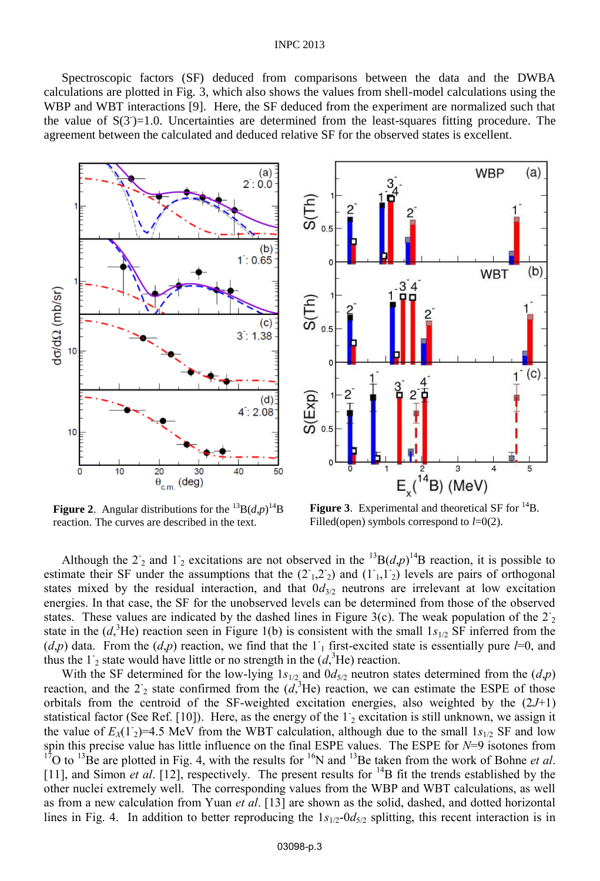#### INPC 2013

Spectroscopic factors (SF) deduced from comparisons between the data and the DWBA calculations are plotted in Fig. 3, which also shows the values from shell-model calculations using the WBP and WBT interactions [9]. Here, the SF deduced from the experiment are normalized such that the value of  $S(3^-)=1.0$ . Uncertainties are determined from the least-squares fitting procedure. The agreement between the calculated and deduced relative SF for the observed states is excellent.





**Figure 2.** Angular distributions for the  ${}^{13}B(d,p)$ <sup>14</sup>B reaction. The curves are described in the text.

**Figure 3.** Experimental and theoretical SF for <sup>14</sup>B. Filled(open) symbols correspond to *l*=0(2).

Although the  $2^{\degree}$  and  $1^{\degree}$  excitations are not observed in the <sup>13</sup>B(*d*,*p*)<sup>14</sup>B reaction, it is possible to estimate their SF under the assumptions that the  $(2, 2, 2)$  and  $(1, 1, 1)$  levels are pairs of orthogonal states mixed by the residual interaction, and that  $0d_{3/2}$  neutrons are irrelevant at low excitation energies. In that case, the SF for the unobserved levels can be determined from those of the observed states. These values are indicated by the dashed lines in Figure 3(c). The weak population of the  $2<sub>2</sub>$ state in the  $(d, {}^{3}He)$  reaction seen in Figure 1(b) is consistent with the small  $1s_{1/2}$  SF inferred from the  $(d,p)$  data. From the  $(d,p)$  reaction, we find that the  $1<sub>1</sub>$  first-excited state is essentially pure *l*=0, and thus the  $1<sub>2</sub>$  state would have little or no strength in the  $(d<sub>1</sub><sup>3</sup>He)$  reaction.

With the SF determined for the low-lying  $1s_{1/2}$  and  $0d_{5/2}$  neutron states determined from the  $(d,p)$ reaction, and the  $2^{\circ}$  state confirmed from the  $(d,{}^{3}He)$  reaction, we can estimate the ESPE of those orbitals from the centroid of the SF-weighted excitation energies, also weighted by the (2*J*+1) statistical factor (See Ref. [10]). Here, as the energy of the  $1<sub>2</sub>$  excitation is still unknown, we assign it the value of  $E_X(1)$ <sup>-2</sup>.5 MeV from the WBT calculation, although due to the small  $1s_{1/2}$  SF and low spin this precise value has little influence on the final ESPE values. The ESPE for *N*=9 isotones from <sup>17</sup>O to <sup>13</sup>Be are plotted in Fig. 4, with the results for <sup>16</sup>N and <sup>13</sup>Be taken from the work of Bohne *et al*. [11], and Simon *et al.* [12], respectively. The present results for <sup>14</sup>B fit the trends established by the other nuclei extremely well. The corresponding values from the WBP and WBT calculations, as well as from a new calculation from Yuan *et al*. [13] are shown as the solid, dashed, and dotted horizontal lines in Fig. 4. In addition to better reproducing the  $1s_{1/2}$ -0 $d_{5/2}$  splitting, this recent interaction is in